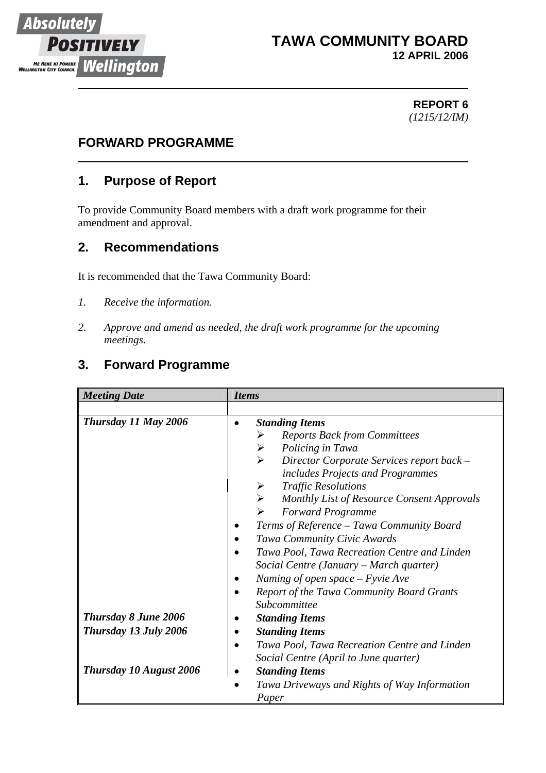

#### **TAWA COMMUNITY BOARD 12 APRIL 2006**

#### **REPORT 6** *(1215/12/IM)*

#### **FORWARD PROGRAMME**

#### **1. Purpose of Report**

To provide Community Board members with a draft work programme for their amendment and approval.

#### **2. Recommendations**

It is recommended that the Tawa Community Board:

- *1. Receive the information.*
- *2. Approve and amend as needed, the draft work programme for the upcoming meetings.*

### **3. Forward Programme**

| <b>Meeting Date</b>            | <b>Items</b>                                              |
|--------------------------------|-----------------------------------------------------------|
|                                |                                                           |
| Thursday 11 May 2006           | <b>Standing Items</b>                                     |
|                                | <b>Reports Back from Committees</b><br>➤                  |
|                                | Policing in Tawa<br>➤                                     |
|                                | ➤<br>Director Corporate Services report back -            |
|                                | includes Projects and Programmes                          |
|                                | <b>Traffic Resolutions</b><br>➤                           |
|                                | Monthly List of Resource Consent Approvals<br>➤           |
|                                | <b>Forward Programme</b><br>➤                             |
|                                | Terms of Reference - Tawa Community Board                 |
|                                | Tawa Community Civic Awards                               |
|                                | Tawa Pool, Tawa Recreation Centre and Linden              |
|                                | Social Centre (January – March quarter)                   |
|                                | Naming of open space $-F$ yvie Ave                        |
|                                | Report of the Tawa Community Board Grants                 |
|                                | Subcommittee                                              |
| <b>Thursday 8 June 2006</b>    | <b>Standing Items</b>                                     |
| Thursday 13 July 2006          | <b>Standing Items</b>                                     |
|                                | Tawa Pool, Tawa Recreation Centre and Linden<br>$\bullet$ |
|                                | Social Centre (April to June quarter)                     |
| <b>Thursday 10 August 2006</b> | <b>Standing Items</b>                                     |
|                                | Tawa Driveways and Rights of Way Information              |
|                                | Paper                                                     |